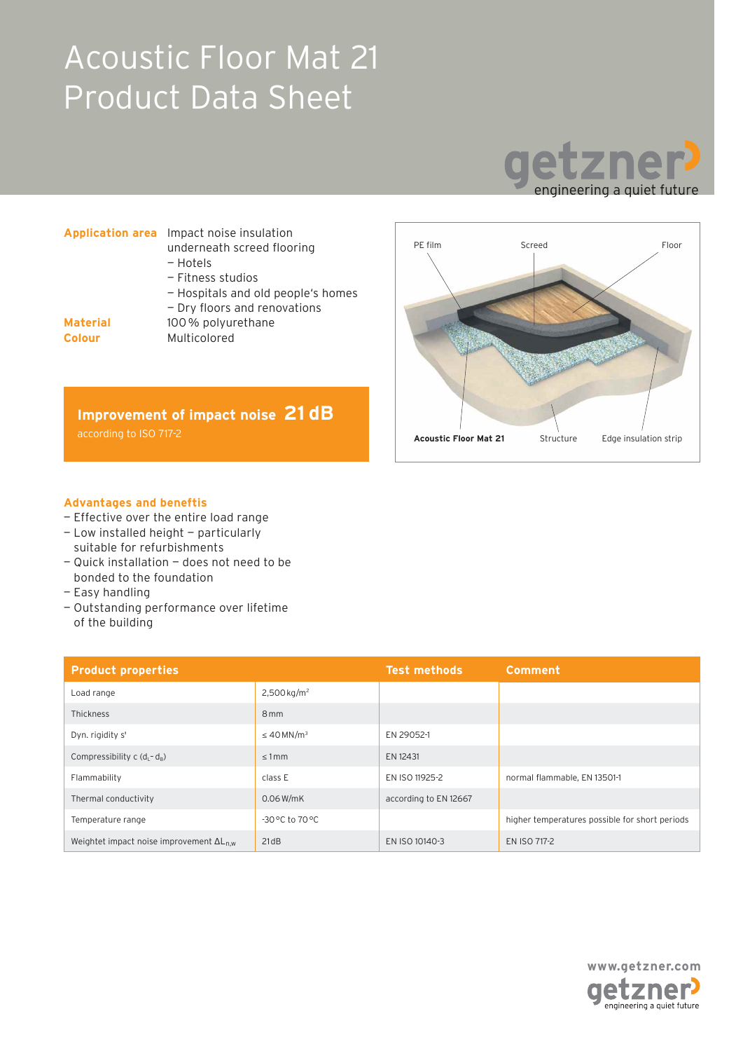# Acoustic Floor Mat 21 Product Data Sheet



|                                  | <b>Application area</b> Impact noise insulation<br>underneath screed flooring<br>- Hotels |  |
|----------------------------------|-------------------------------------------------------------------------------------------|--|
|                                  | - Fitness studios<br>- Hospitals and old people's homes<br>- Dry floors and renovations   |  |
| <b>Material</b><br><b>Colour</b> | 100% polyurethane<br>Multicolored                                                         |  |





### **Advantages and beneftis**

- Effective over the entire load range
- Low installed height particularly suitable for refurbishments
- Quick installation does not need to be bonded to the foundation
- Easy handling
- Outstanding performance over lifetime of the building

| <b>Product properties</b>                          |                                       | <b>Test methods</b>   | <b>Comment</b>                                 |
|----------------------------------------------------|---------------------------------------|-----------------------|------------------------------------------------|
| Load range                                         | $2,500$ kg/m <sup>2</sup>             |                       |                                                |
| <b>Thickness</b>                                   | 8 <sub>mm</sub>                       |                       |                                                |
| Dyn. rigidity s'                                   | $\leq$ 40 MN/m <sup>3</sup>           | EN 29052-1            |                                                |
| Compressibility c $(d_i - d_n)$                    | $< 1$ mm                              | EN 12431              |                                                |
| Flammability                                       | class E                               | EN ISO 11925-2        | normal flammable, EN 13501-1                   |
| Thermal conductivity                               | $0.06$ W/mK                           | according to EN 12667 |                                                |
| Temperature range                                  | $-30\,^{\circ}$ C to $70\,^{\circ}$ C |                       | higher temperatures possible for short periods |
| Weightet impact noise improvement $\Delta L_{n,w}$ | 21dB                                  | EN ISO 10140-3        | EN ISO 717-2                                   |